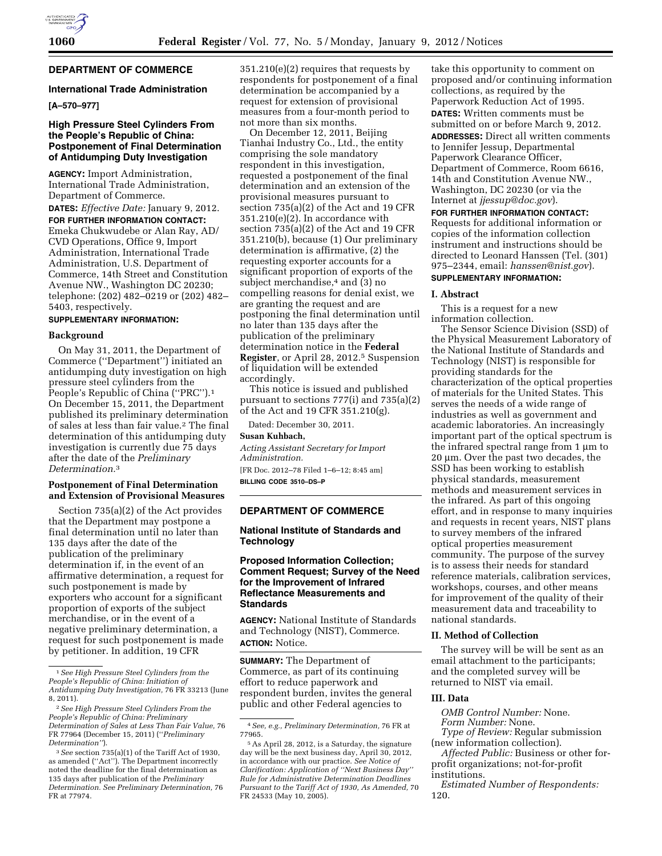

### **DEPARTMENT OF COMMERCE**

#### **International Trade Administration**

### **[A–570–977]**

### **High Pressure Steel Cylinders From the People's Republic of China: Postponement of Final Determination of Antidumping Duty Investigation**

**AGENCY:** Import Administration, International Trade Administration, Department of Commerce.

**DATES:** *Effective Date:* January 9, 2012. **FOR FURTHER INFORMATION CONTACT:**  Emeka Chukwudebe or Alan Ray, AD/ CVD Operations, Office 9, Import Administration, International Trade Administration, U.S. Department of Commerce, 14th Street and Constitution Avenue NW., Washington DC 20230; telephone: (202) 482–0219 or (202) 482– 5403, respectively.

### **SUPPLEMENTARY INFORMATION:**

#### **Background**

On May 31, 2011, the Department of Commerce (''Department'') initiated an antidumping duty investigation on high pressure steel cylinders from the People's Republic of China (''PRC'').1 On December 15, 2011, the Department published its preliminary determination of sales at less than fair value.2 The final determination of this antidumping duty investigation is currently due 75 days after the date of the *Preliminary Determination.*3

### **Postponement of Final Determination and Extension of Provisional Measures**

Section 735(a)(2) of the Act provides that the Department may postpone a final determination until no later than 135 days after the date of the publication of the preliminary determination if, in the event of an affirmative determination, a request for such postponement is made by exporters who account for a significant proportion of exports of the subject merchandise, or in the event of a negative preliminary determination, a request for such postponement is made by petitioner. In addition, 19 CFR

351.210(e)(2) requires that requests by respondents for postponement of a final determination be accompanied by a request for extension of provisional measures from a four-month period to not more than six months.

On December 12, 2011, Beijing Tianhai Industry Co., Ltd., the entity comprising the sole mandatory respondent in this investigation, requested a postponement of the final determination and an extension of the provisional measures pursuant to section 735(a)(2) of the Act and 19 CFR 351.210(e)(2). In accordance with section 735(a)(2) of the Act and 19 CFR 351.210(b), because (1) Our preliminary determination is affirmative, (2) the requesting exporter accounts for a significant proportion of exports of the subject merchandise,<sup>4</sup> and (3) no compelling reasons for denial exist, we are granting the request and are postponing the final determination until no later than 135 days after the publication of the preliminary determination notice in the **Federal Register**, or April 28, 2012.5 Suspension of liquidation will be extended accordingly.

This notice is issued and published pursuant to sections 777(i) and 735(a)(2) of the Act and 19 CFR 351.210(g).

Dated: December 30, 2011.

#### **Susan Kuhbach,**

*Acting Assistant Secretary for Import Administration.* 

[FR Doc. 2012–78 Filed 1–6–12; 8:45 am] **BILLING CODE 3510–DS–P** 

### **DEPARTMENT OF COMMERCE**

### **National Institute of Standards and Technology**

### **Proposed Information Collection; Comment Request; Survey of the Need for the Improvement of Infrared Reflectance Measurements and Standards**

**AGENCY:** National Institute of Standards and Technology (NIST), Commerce. **ACTION:** Notice.

**SUMMARY:** The Department of Commerce, as part of its continuing effort to reduce paperwork and respondent burden, invites the general public and other Federal agencies to

take this opportunity to comment on proposed and/or continuing information collections, as required by the Paperwork Reduction Act of 1995. **DATES:** Written comments must be submitted on or before March 9, 2012.

**ADDRESSES:** Direct all written comments to Jennifer Jessup, Departmental Paperwork Clearance Officer, Department of Commerce, Room 6616, 14th and Constitution Avenue NW., Washington, DC 20230 (or via the Internet at *[jjessup@doc.gov](mailto:jjessup@doc.gov)*).

**FOR FURTHER INFORMATION CONTACT:**  Requests for additional information or copies of the information collection instrument and instructions should be directed to Leonard Hanssen (Tel. (301) 975–2344, email: *[hanssen@nist.gov](mailto:hanssen@nist.gov)*). **SUPPLEMENTARY INFORMATION:** 

# **I. Abstract**

This is a request for a new information collection.

The Sensor Science Division (SSD) of the Physical Measurement Laboratory of the National Institute of Standards and Technology (NIST) is responsible for providing standards for the characterization of the optical properties of materials for the United States. This serves the needs of a wide range of industries as well as government and academic laboratories. An increasingly important part of the optical spectrum is the infrared spectral range from  $1 \mu m$  to 20 µm. Over the past two decades, the SSD has been working to establish physical standards, measurement methods and measurement services in the infrared. As part of this ongoing effort, and in response to many inquiries and requests in recent years, NIST plans to survey members of the infrared optical properties measurement community. The purpose of the survey is to assess their needs for standard reference materials, calibration services, workshops, courses, and other means for improvement of the quality of their measurement data and traceability to national standards.

#### **II. Method of Collection**

The survey will be will be sent as an email attachment to the participants; and the completed survey will be returned to NIST via email.

#### **III. Data**

*OMB Control Number:* None. *Form Number:* None.

*Type of Review:* Regular submission (new information collection).

*Affected Public:* Business or other forprofit organizations; not-for-profit institutions.

*Estimated Number of Respondents:*  120.

<sup>1</sup>*See High Pressure Steel Cylinders from the People's Republic of China: Initiation of Antidumping Duty Investigation,* 76 FR 33213 (June 8, 2011).

<sup>2</sup>*See High Pressure Steel Cylinders From the People's Republic of China: Preliminary Determination of Sales at Less Than Fair Value,* 76 FR 77964 (December 15, 2011) (''*Preliminary Determination''*).

<sup>3</sup>*See* section 735(a)(1) of the Tariff Act of 1930, as amended (''Act''). The Department incorrectly noted the deadline for the final determination as 135 days after publication of the *Preliminary Determination. See Preliminary Determination,* 76 FR at 77974.

<sup>4</sup>*See, e.g., Preliminary Determination,* 76 FR at 77965.

<sup>5</sup>As April 28, 2012, is a Saturday, the signature day will be the next business day, April 30, 2012, in accordance with our practice. *See Notice of Clarification: Application of ''Next Business Day'' Rule for Administrative Determination Deadlines Pursuant to the Tariff Act of 1930, As Amended,* 70 FR 24533 (May 10, 2005).